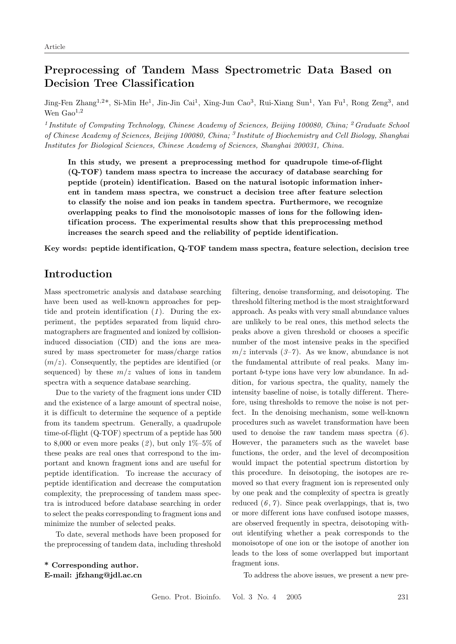# Preprocessing of Tandem Mass Spectrometric Data Based on Decision Tree Classification

Jing-Fen Zhang<sup>1,2\*</sup>, Si-Min He<sup>1</sup>, Jin-Jin Cai<sup>1</sup>, Xing-Jun Cao<sup>3</sup>, Rui-Xiang Sun<sup>1</sup>, Yan Fu<sup>1</sup>, Rong Zeng<sup>3</sup>, and Wen  $Gao<sup>1,2</sup>$ 

<sup>1</sup> Institute of Computing Technology, Chinese Academy of Sciences, Beijing 100080, China; <sup>2</sup> Graduate School of Chinese Academy of Sciences, Beijing 100080, China; <sup>3</sup> Institute of Biochemistry and Cell Biology, Shanghai Institutes for Biological Sciences, Chinese Academy of Sciences, Shanghai 200031, China.

In this study, we present a preprocessing method for quadrupole time-of-flight (Q-TOF) tandem mass spectra to increase the accuracy of database searching for peptide (protein) identification. Based on the natural isotopic information inherent in tandem mass spectra, we construct a decision tree after feature selection to classify the noise and ion peaks in tandem spectra. Furthermore, we recognize overlapping peaks to find the monoisotopic masses of ions for the following identification process. The experimental results show that this preprocessing method increases the search speed and the reliability of peptide identification.

Key words: peptide identification, Q-TOF tandem mass spectra, feature selection, decision tree

## Introduction

Mass spectrometric analysis and database searching have been used as well-known approaches for peptide and protein identification  $(1)$ . During the experiment, the peptides separated from liquid chromatographers are fragmented and ionized by collisioninduced dissociation (CID) and the ions are measured by mass spectrometer for mass/charge ratios  $(m/z)$ . Consequently, the peptides are identified (or sequenced) by these  $m/z$  values of ions in tandem spectra with a sequence database searching.

Due to the variety of the fragment ions under CID and the existence of a large amount of spectral noise, it is dif ficult to determine the sequence of a peptide from its tandem spectrum. Generally, a quadrupole time-of-flight (Q-TOF) spectrum of a peptide has 500 to 8,000 or even more peaks  $(2)$ , but only  $1\%$ -5% of these peaks are real ones that correspond to the important and known fragment ions and are useful for peptide identification. To increase the accuracy of peptide identification and decrease the computation complexity, the preprocessing of tandem mass spectra is introduced before database searching in order to select the peaks corresponding to fragment ions and minimize the number of selected peaks.

To date, several methods have been proposed for the preprocessing of tandem data, including threshold

\* Corresponding author. E-mail: jfzhang@jdl.ac.cn filtering, denoise transforming, and deisotoping. The threshold filtering method is the most straightforward approach. As peaks with very small abundance values are unlikely to be real ones, this method selects the peaks above a given threshold or chooses a specific number of the most intensive peaks in the specified  $m/z$  intervals (3–7). As we know, abundance is not the fundamental attribute of real peaks. Many important b-type ions have very low abundance. In addition, for various spectra, the quality, namely the intensity baseline of noise, is totally different. Therefore, using thresholds to remove the noise is not perfect. In the denoising mechanism, some well-known procedures such as wavelet transformation have been used to denoise the raw tandem mass spectra  $(6)$ . However, the parameters such as the wavelet base functions, the order, and the level of decomposition would impact the potential spectrum distortion by this procedure. In deisotoping, the isotopes are removed so that every fragment ion is represented only by one peak and the complexity of spectra is greatly reduced  $(6, 7)$ . Since peak overlappings, that is, two or more dif ferent ions have confused isotope masses, are observed frequently in spectra, deisotoping without identifying whether a peak corresponds to the monoisotope of one ion or the isotope of another ion leads to the loss of some overlapped but important fragment ions.

To address the above issues, we present a new pre-

Geno. Prot. Bioinfo. Vol. 3 No. 4 2005 231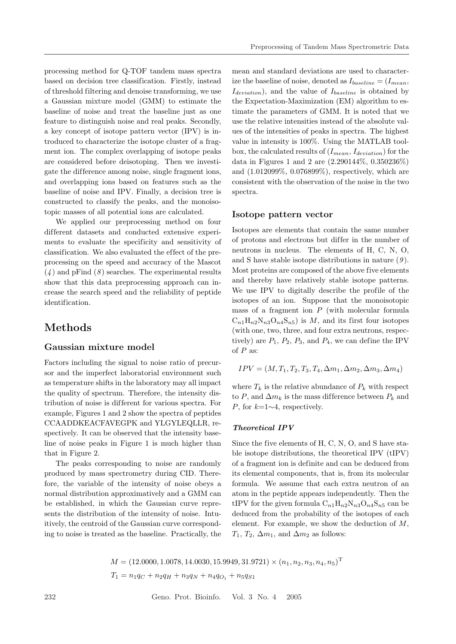processing method for Q-TOF tandem mass spectra based on decision tree classification. Firstly, instead of threshold filtering and denoise transforming, we use a Gaussian mixture model (GMM) to estimate the baseline of noise and treat the baseline just as one feature to distinguish noise and real peaks. Secondly, a key concept of isotope pattern vector (IPV) is introduced to characterize the isotope cluster of a fragment ion. The complex overlapping of isotope peaks are considered before deisotoping. Then we investigate the difference among noise, single fragment ions, and overlapping ions based on features such as the baseline of noise and IPV. Finally, a decision tree is constructed to classify the peaks, and the monoisotopic masses of all potential ions are calculated.

We applied our preprocessing method on four different datasets and conducted extensive experiments to evaluate the specificity and sensitivity of classification. We also evaluated the ef fect of the preprocessing on the speed and accuracy of the Mascot  $(4)$  and pFind  $(8)$  searches. The experimental results show that this data preprocessing approach can increase the search speed and the reliability of peptide identification.

# Methods

### Gaussian mixture model

Factors including the signal to noise ratio of precursor and the imperfect laboratorial environment such as temperature shifts in the laboratory may all impact the quality of spectrum. Therefore, the intensity distribution of noise is dif ferent for various spectra. For example, Figures 1 and 2 show the spectra of peptides CCAADDKEACFAVEGPK and YLGYLEQLLR, respectively. It can be observed that the intensity baseline of noise peaks in Figure 1 is much higher than that in Figure 2.

The peaks corresponding to noise are randomly produced by mass spectrometry during CID. Therefore, the variable of the intensity of noise obeys a normal distribution approximatively and a GMM can be established, in which the Gaussian curve represents the distribution of the intensity of noise. Intuitively, the centroid of the Gaussian curve corresponding to noise is treated as the baseline. Practically, the

mean and standard deviations are used to characterize the baseline of noise, denoted as  $I_{baseline} = (I_{mean},$  $I_{deviation}$ , and the value of  $I_{baseline}$  is obtained by the Expectation-Maximization (EM) algorithm to estimate the parameters of GMM. It is noted that we use the relative intensities instead of the absolute values of the intensities of peaks in spectra. The highest value in intensity is 100%. Using the MATLAB toolbox, the calculated results of  $(I_{mean}, I_{deviation})$  for the data in Figures 1 and 2 are (2.290144%, 0.350236%) and (1.012099%, 0.076899%), respectively, which are consistent with the observation of the noise in the two spectra.

### Isotope pattern vector

Isotopes are elements that contain the same number of protons and electrons but dif fer in the number of neutrons in nucleus. The elements of H, C, N, O, and S have stable isotope distributions in nature  $(9)$ . Most proteins are composed of the above five elements and thereby have relatively stable isotope patterns. We use IPV to digitally describe the profile of the isotopes of an ion. Suppose that the monoisotopic mass of a fragment ion  $P$  (with molecular formula  $C_{n1}H_{n2}N_{n3}O_{n4}S_{n5}$  is M, and its first four isotopes (with one, two, three, and four extra neutrons, respectively) are  $P_1$ ,  $P_2$ ,  $P_3$ , and  $P_4$ , we can define the IPV of  $P$  as:

$$
IPV = (M, T_1, T_2, T_3, T_4, \Delta m_1, \Delta m_2, \Delta m_3, \Delta m_4)
$$

where  $T_k$  is the relative abundance of  $P_k$  with respect to P, and  $\Delta m_k$  is the mass difference between  $P_k$  and P, for  $k=1\sim 4$ , respectively.

#### Theoretical IPV

Since the five elements of H, C, N, O, and S have stable isotope distributions, the theoretical IPV (tIPV) of a fragment ion is definite and can be deduced from its elemental components, that is, from its molecular formula. We assume that each extra neutron of an atom in the peptide appears independently. Then the tIPV for the given formula  $C_{n1}H_{n2}N_{n3}O_{n4}S_{n5}$  can be deduced from the probability of the isotopes of each element. For example, we show the deduction of M,  $T_1, T_2, \Delta m_1$ , and  $\Delta m_2$  as follows:

 $M = (12.0000, 1.0078, 14.0030, 15.9949, 31.9721) \times (n_1, n_2, n_3, n_4, n_5)^{\mathrm{T}}$  $T_1 = n_1q_C + n_2q_H + n_3q_N + n_4q_{O_1} + n_5q_{S1}$ 

232 Geno. Prot. Bioinfo. Vol. 3 No. 4 2005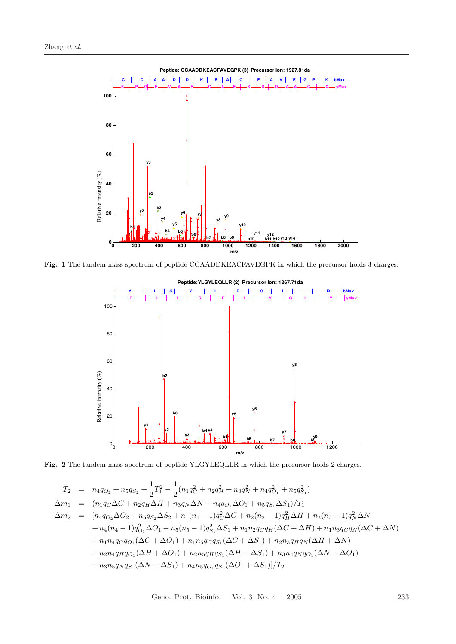

Fig. 1 The tandem mass spectrum of peptide CCAADDKEACFAVEGPK in which the precursor holds 3 charges.



Fig. 2 The tandem mass spectrum of peptide YLGYLEQLLR in which the precursor holds 2 charges.

$$
T_2 = n_4 q_{O_2} + n_5 q_{S_2} + \frac{1}{2} T_1^2 - \frac{1}{2} (n_1 q_C^2 + n_2 q_H^2 + n_3 q_N^2 + n_4 q_{O_1}^2 + n_5 q_{S_1}^2)
$$
  
\n
$$
\Delta m_1 = (n_1 q_C \Delta C + n_2 q_H \Delta H + n_3 q_N \Delta N + n_4 q_{O_1} \Delta O_1 + n_5 q_{S_1} \Delta S_1)/T_1
$$
  
\n
$$
\Delta m_2 = [n_4 q_{O_2} \Delta O_2 + n_5 q_{S_2} \Delta S_2 + n_1 (n_1 - 1) q_C^2 \Delta C + n_2 (n_2 - 1) q_H^2 \Delta H + n_3 (n_3 - 1) q_N^2 \Delta N
$$
  
\n
$$
+ n_4 (n_4 - 1) q_{O_1}^2 \Delta O_1 + n_5 (n_5 - 1) q_{S_1}^2 \Delta S_1 + n_1 n_2 q_C q_H (\Delta C + \Delta H) + n_1 n_3 q_C q_N (\Delta C + \Delta N)
$$
  
\n
$$
+ n_1 n_4 q_C q_{O_1} (\Delta C + \Delta O_1) + n_1 n_5 q_C q_{S_1} (\Delta C + \Delta S_1) + n_2 n_3 q_H q_N (\Delta H + \Delta N)
$$
  
\n
$$
+ n_2 n_4 q_H q_{O_1} (\Delta H + \Delta O_1) + n_2 n_5 q_H q_{S_1} (\Delta H + \Delta S_1) + n_3 n_4 q_N q_{O_1} (\Delta N + \Delta O_1)
$$
  
\n
$$
+ n_3 n_5 q_N q_{S_1} (\Delta N + \Delta S_1) + n_4 n_5 q_{O_1} q_{S_1} (\Delta O_1 + \Delta S_1)/T_2
$$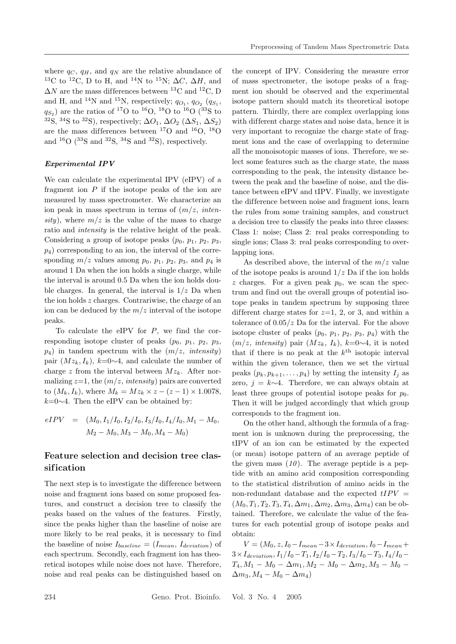where  $q_C, q_H$ , and  $q_N$  are the relative abundance of <sup>13</sup>C to <sup>12</sup>C, D to H, and <sup>14</sup>N to <sup>15</sup>N;  $\Delta C$ ,  $\Delta H$ , and  $\Delta N$  are the mass differences between  $^{13}\mathrm{C}$  and  $^{12}\mathrm{C}$  D and H, and <sup>14</sup>N and <sup>15</sup>N, respectively;  $q_{O_1}$ ,  $q_{O_2}$  ( $q_{S_1}$ ,  $q_{S_2}$ ) are the ratios of <sup>17</sup>O to <sup>16</sup>O, <sup>18</sup>O to <sup>16</sup>O (<sup>33</sup>S to <sup>32</sup>S, <sup>34</sup>S to <sup>32</sup>S), respectively;  $\Delta O_1$ ,  $\Delta O_2$  ( $\Delta S_1$ ,  $\Delta S_2$ ) are the mass differences between  $^{17}O$  and  $^{16}O$ ,  $^{18}O$ and  ${}^{16}O$  ( ${}^{33}S$  and  ${}^{32}S$ ,  ${}^{34}S$  and  ${}^{32}S$ ), respectively.

#### Experimental IPV

We can calculate the experimental IPV (eIPV) of a fragment ion  $P$  if the isotope peaks of the ion are measured by mass spectrometer. We characterize an ion peak in mass spectrum in terms of  $(m/z, inten$ sity), where  $m/z$  is the value of the mass to charge ratio and intensity is the relative height of the peak. Considering a group of isotope peaks  $(p_0, p_1, p_2, p_3, p_4)$  $p_4$ ) corresponding to an ion, the interval of the corresponding  $m/z$  values among  $p_0$ ,  $p_1$ ,  $p_2$ ,  $p_3$ , and  $p_4$  is around 1 Da when the ion holds a single charge, while the interval is around 0.5 Da when the ion holds double charges. In general, the interval is  $1/z$  Da when the ion holds  $z$  charges. Contrariwise, the charge of an ion can be deduced by the  $m/z$  interval of the isotope peaks.

To calculate the eIPV for  $P$ , we find the corresponding isotope cluster of peaks  $(p_0, p_1, p_2, p_3,$  $p_4$ ) in tandem spectrum with the  $(m/z, intensity)$ pair  $(Mz_k, I_k)$ ,  $k=0\sim 4$ , and calculate the number of charge z from the interval between  $Mz_k$ . After normalizing  $z=1$ , the  $(m/z, intensity)$  pairs are converted to  $(M_k, I_k)$ , where  $M_k = Mz_k \times z - (z - 1) \times 1.0078$ ,  $k=0\sim4$ . Then the eIPV can be obtained by:

$$
eIPV = (M_0, I_1/I_0, I_2/I_0, I_3/I_0, I_4/I_0, M_1 - M_0,
$$
  

$$
M_2 - M_0, M_3 - M_0, M_4 - M_0)
$$

### Feature selection and decision tree classif ication

The next step is to investigate the difference between noise and fragment ions based on some proposed features, and construct a decision tree to classify the peaks based on the values of the features. Firstly, since the peaks higher than the baseline of noise are more likely to be real peaks, it is necessary to find the baseline of noise  $I_{baseline} = (I_{mean}, I_{deviation})$  of each spectrum. Secondly, each fragment ion has theoretical isotopes while noise does not have. Therefore, noise and real peaks can be distinguished based on

the concept of IPV. Considering the measure error of mass spectrometer, the isotope peaks of a fragment ion should be observed and the experimental isotope pattern should match its theoretical isotope pattern. Thirdly, there are complex overlapping ions with different charge states and noise data, hence it is very important to recognize the charge state of fragment ions and the case of overlapping to determine all the monoisotopic masses of ions. Therefore, we select some features such as the charge state, the mass corresponding to the peak, the intensity distance between the peak and the baseline of noise, and the distance between eIPV and tIPV. Finally, we investigate the difference between noise and fragment ions, learn the rules from some training samples, and construct a decision tree to classify the peaks into three classes: Class 1: noise; Class 2: real peaks corresponding to single ions; Class 3: real peaks corresponding to overlapping ions.

As described above, the interval of the  $m/z$  value of the isotope peaks is around  $1/z$  Da if the ion holds z charges. For a given peak  $p_0$ , we scan the spectrum and find out the overall groups of potential isotope peaks in tandem spectrum by supposing three different charge states for  $z=1$ , 2, or 3, and within a tolerance of  $0.05/z$  Da for the interval. For the above isotope cluster of peaks  $(p_0, p_1, p_2, p_3, p_4)$  with the  $(m/z, intensity)$  pair  $(Mz_k, I_k)$ ,  $k=0~1$ , it is noted that if there is no peak at the  $k^{\text{th}}$  isotopic interval within the given tolerance, then we set the virtual peaks  $(p_k, p_{k+1}, \ldots, p_4)$  by setting the intensity  $I_j$  as zero,  $j = k \sim 4$ . Therefore, we can always obtain at least three groups of potential isotope peaks for  $p_0$ . Then it will be judged accordingly that which group corresponds to the fragment ion.

On the other hand, although the formula of a fragment ion is unknown during the preprocessing, the tIPV of an ion can be estimated by the expected (or mean) isotope pattern of an average peptide of the given mass  $(10)$ . The average peptide is a peptide with an amino acid composition corresponding to the statistical distribution of amino acids in the non-redundant database and the expected  $tIPV =$  $(M_0, T_1, T_2, T_3, T_4, \Delta m_1, \Delta m_2, \Delta m_3, \Delta m_4)$  can be obtained. Therefore, we calculate the value of the features for each potential group of isotope peaks and obtain:

 $V = (M_0, z, I_0-I_{mean}-3\times I_{deviation}, I_0-I_{mean}+$  $3\times I_{deviation}, I_1/I_0-T_1, I_2/I_0-T_2, I_3/I_0-T_3, I_4/I_0-T_4$  $T_4, M_1 - M_0 - \Delta m_1, M_2 - M_0 - \Delta m_2, M_3 - M_0 \Delta m_3, M_4 - M_0 - \Delta m_4$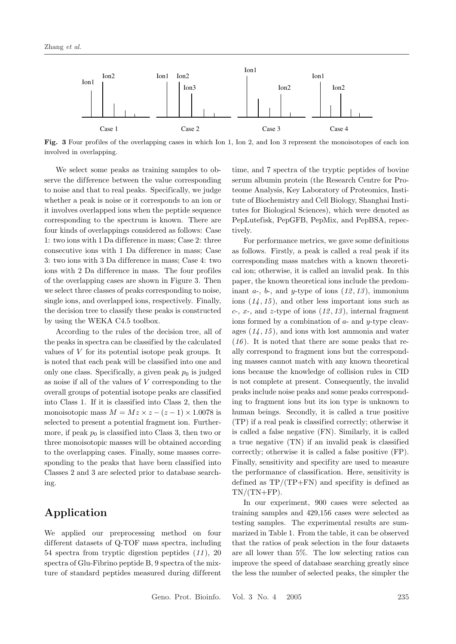

Fig. 3 Four profiles of the overlapping cases in which Ion 1, Ion 2, and Ion 3 represent the monoisotopes of each ion involved in overlapping.

We select some peaks as training samples to observe the difference between the value corresponding to noise and that to real peaks. Specifically, we judge whether a peak is noise or it corresponds to an ion or it involves overlapped ions when the peptide sequence corresponding to the spectrum is known. There are four kinds of overlappings considered as follows: Case 1: two ions with 1 Da dif ference in mass; Case 2: three consecutive ions with 1 Da dif ference in mass; Case 3: two ions with 3 Da dif ference in mass; Case 4: two ions with 2 Da difference in mass. The four profiles of the overlapping cases are shown in Figure 3. Then we select three classes of peaks corresponding to noise, single ions, and overlapped ions, respectively. Finally, the decision tree to classify these peaks is constructed by using the WEKA C4.5 toolbox.

According to the rules of the decision tree, all of the peaks in spectra can be classified by the calculated values of V for its potential isotope peak groups. It is noted that each peak will be classified into one and only one class. Specifically, a given peak  $p_0$  is judged as noise if all of the values of  $V$  corresponding to the overall groups of potential isotope peaks are classified into Class 1. If it is classified into Class 2, then the monoisotopic mass  $M = Mz \times z - (z - 1) \times 1.0078$  is selected to present a potential fragment ion. Furthermore, if peak  $p_0$  is classified into Class 3, then two or three monoisotopic masses will be obtained according to the overlapping cases. Finally, some masses corresponding to the peaks that have been classified into Classes 2 and 3 are selected prior to database searching.

## Application

We applied our preprocessing method on four different datasets of Q-TOF mass spectra, including 54 spectra from tryptic digestion peptides (11 ), 20 spectra of Glu-Fibrino peptide B, 9 spectra of the mixture of standard peptides measured during different

time, and 7 spectra of the tryptic peptides of bovine serum albumin protein (the Research Centre for Proteome Analysis, Key Laboratory of Proteomics, Institute of Biochemistry and Cell Biology, Shanghai Institutes for Biological Sciences), which were denoted as PepLutefisk, PepGFB, PepMix, and PepBSA, repectively.

For performance metrics, we gave some definitions as follows. Firstly, a peak is called a real peak if its corresponding mass matches with a known theoretical ion; otherwise, it is called an invalid peak. In this paper, the known theoretical ions include the predominant  $a$ -,  $b$ -, and  $y$ -type of ions  $(12, 13)$ , immonium ions  $(14, 15)$ , and other less important ions such as  $c$ -,  $x$ -, and  $z$ -type of ions  $(12, 13)$ , internal fragment ions formed by a combination of  $a$ - and  $y$ -type cleavages  $(14, 15)$ , and ions with lost ammonia and water  $(16)$ . It is noted that there are some peaks that really correspond to fragment ions but the corresponding masses cannot match with any known theoretical ions because the knowledge of collision rules in CID is not complete at present. Consequently, the invalid peaks include noise peaks and some peaks corresponding to fragment ions but its ion type is unknown to human beings. Secondly, it is called a true positive (TP) if a real peak is classified correctly; otherwise it is called a false negative (FN). Similarly, it is called a true negative (TN) if an invalid peak is classified correctly; otherwise it is called a false positive (FP). Finally, sensitivity and specifity are used to measure the performance of classification. Here, sensitivity is defined as  $TP/(TP+FN)$  and specifity is defined as  $TN/(TN+FP)$ .

In our experiment, 900 cases were selected as training samples and 429,156 cases were selected as testing samples. The experimental results are summarized in Table 1. From the table, it can be observed that the ratios of peak selection in the four datasets are all lower than 5%. The low selecting ratios can improve the speed of database searching greatly since the less the number of selected peaks, the simpler the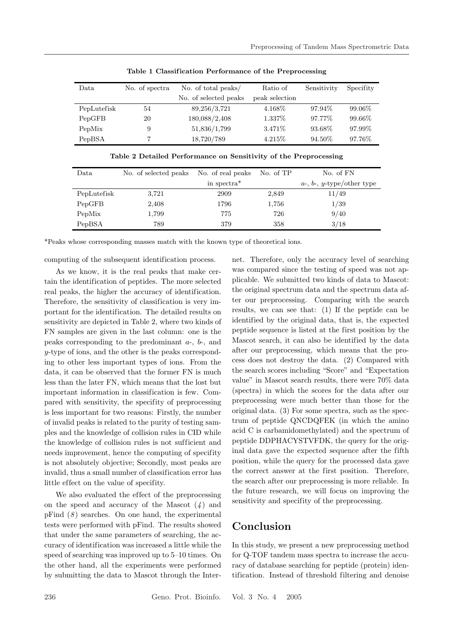| Data        | No. of spectra | No. of total peaks/   | Ratio of       | Sensitivity | Specifity |
|-------------|----------------|-----------------------|----------------|-------------|-----------|
|             |                | No. of selected peaks | peak selection |             |           |
| PepLutefisk | 54             | 89,256/3,721          | 4.168\%        | 97.94\%     | 99.06%    |
| PepGFB      | 20             | 180,088/2,408         | 1.337\%        | 97.77%      | 99.66%    |
| PepMix      | 9              | 51,836/1,799          | 3.471\%        | 93.68%      | 97.99%    |
| PepBSA      | 7              | 18,720/789            | 4.215\%        | 94.50%      | 97.76\%   |

Table 1 Classification Performance of the Preprocessing

| Data        | No. of selected peaks | No. of real peaks       | No. of TP | No. of FN                          |
|-------------|-----------------------|-------------------------|-----------|------------------------------------|
|             |                       | in spectra <sup>*</sup> |           | $a$ -, $b$ -, $y$ -type/other type |
| PepLutefisk | 3,721                 | 2909                    | 2,849     | 11/49                              |
| PepGFB      | 2,408                 | 1796                    | 1,756     | 1/39                               |
| PepMix      | 1,799                 | 775                     | 726       | 9/40                               |
| PepBSA      | 789                   | 379                     | 358       | 3/18                               |

\*Peaks whose corresponding masses match with the known type of theoretical ions.

computing of the subsequent identification process.

As we know, it is the real peaks that make certain the identification of peptides. The more selected real peaks, the higher the accuracy of identification. Therefore, the sensitivity of classification is very important for the identification. The detailed results on sensitivity are depicted in Table 2, where two kinds of FN samples are given in the last column: one is the peaks corresponding to the predominant a-, b-, and y-type of ions, and the other is the peaks corresponding to other less important types of ions. From the data, it can be observed that the former FN is much less than the later FN, which means that the lost but important information in classification is few. Compared with sensitivity, the specifity of preprocessing is less important for two reasons: Firstly, the number of invalid peaks is related to the purity of testing samples and the knowledge of collision rules in CID while the knowledge of collision rules is not sufficient and needs improvement, hence the computing of specifity is not absolutely objective; Secondly, most peaks are invalid, thus a small number of classification error has little effect on the value of specifity.

We also evaluated the effect of the preprocessing on the speed and accuracy of the Mascot  $(4)$  and pFind  $(8)$  searches. On one hand, the experimental tests were performed with pFind. The results showed that under the same parameters of searching, the accuracy of identification was increased a little while the speed of searching was improved up to 5–10 times. On the other hand, all the experiments were performed by submitting the data to Mascot through the Internet. Therefore, only the accuracy level of searching was compared since the testing of speed was not applicable. We submitted two kinds of data to Mascot: the original spectrum data and the spectrum data after our preprocessing. Comparing with the search results, we can see that: (1) If the peptide can be identified by the original data, that is, the expected peptide sequence is listed at the first position by the Mascot search, it can also be identified by the data after our preprocessing, which means that the process does not destroy the data. (2) Compared with the search scores including "Score" and "Expectation value" in Mascot search results, there were 70% data (spectra) in which the scores for the data after our preprocessing were much better than those for the original data. (3) For some spectra, such as the spectrum of peptide QNCDQFEK (in which the amino acid C is carbamidomethylated) and the spectrum of peptide DDPHACYSTVFDK, the query for the original data gave the expected sequence after the fifth position, while the query for the processed data gave the correct answer at the first position. Therefore, the search after our preprocessing is more reliable. In the future research, we will focus on improving the sensitivity and specifity of the preprocessing.

### Conclusion

In this study, we present a new preprocessing method for Q-TOF tandem mass spectra to increase the accuracy of database searching for peptide (protein) identification. Instead of threshold filtering and denoise